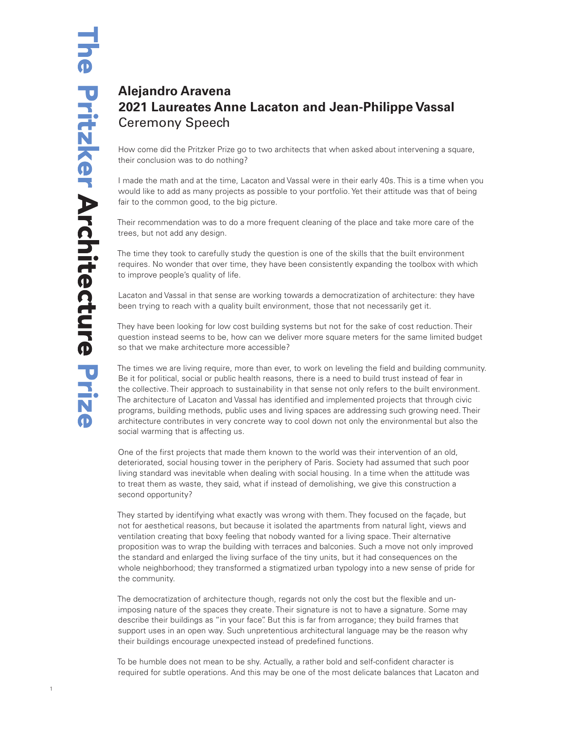## **Alejandro Aravena 2021 Laureates Anne Lacaton and Jean-Philippe Vassal** Ceremony Speech

How come did the Pritzker Prize go to two architects that when asked about intervening a square, their conclusion was to do nothing?

I made the math and at the time, Lacaton and Vassal were in their early 40s. This is a time when you would like to add as many projects as possible to your portfolio. Yet their attitude was that of being fair to the common good, to the big picture.

Their recommendation was to do a more frequent cleaning of the place and take more care of the trees, but not add any design.

The time they took to carefully study the question is one of the skills that the built environment requires. No wonder that over time, they have been consistently expanding the toolbox with which to improve people's quality of life.

Lacaton and Vassal in that sense are working towards a democratization of architecture: they have been trying to reach with a quality built environment, those that not necessarily get it.

They have been looking for low cost building systems but not for the sake of cost reduction. Their question instead seems to be, how can we deliver more square meters for the same limited budget so that we make architecture more accessible?

The times we are living require, more than ever, to work on leveling the field and building community. Be it for political, social or public health reasons, there is a need to build trust instead of fear in the collective. Their approach to sustainability in that sense not only refers to the built environment. The architecture of Lacaton and Vassal has identified and implemented projects that through civic programs, building methods, public uses and living spaces are addressing such growing need. Their architecture contributes in very concrete way to cool down not only the environmental but also the social warming that is affecting us.

One of the first projects that made them known to the world was their intervention of an old, deteriorated, social housing tower in the periphery of Paris. Society had assumed that such poor living standard was inevitable when dealing with social housing. In a time when the attitude was to treat them as waste, they said, what if instead of demolishing, we give this construction a second opportunity?

They started by identifying what exactly was wrong with them. They focused on the façade, but not for aesthetical reasons, but because it isolated the apartments from natural light, views and ventilation creating that boxy feeling that nobody wanted for a living space. Their alternative proposition was to wrap the building with terraces and balconies. Such a move not only improved the standard and enlarged the living surface of the tiny units, but it had consequences on the whole neighborhood; they transformed a stigmatized urban typology into a new sense of pride for the community.

The democratization of architecture though, regards not only the cost but the flexible and unimposing nature of the spaces they create. Their signature is not to have a signature. Some may describe their buildings as "in your face". But this is far from arrogance; they build frames that support uses in an open way. Such unpretentious architectural language may be the reason why their buildings encourage unexpected instead of predefined functions.

To be humble does not mean to be shy. Actually, a rather bold and self-confident character is required for subtle operations. And this may be one of the most delicate balances that Lacaton and